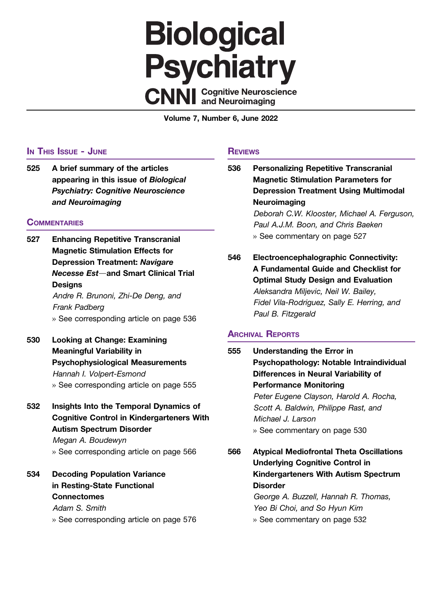## **Biological Psychiatry CNNI** Cognitive Neuroscience

Volume 7, Number 6, June 2022

## IN THIS ISSUE - JUNE

525 A brief summary of the articles appearing in this issue of Biological Psychiatry: Cognitive Neuroscience and Neuroimaging

## **COMMENTARIES**

- 527 Enhancing Repetitive Transcranial Magnetic Stimulation Effects for Depression Treatment: Navigare Necesse Est-and Smart Clinical Trial **Designs** Andre R. Brunoni, Zhi-De Deng, and Frank Padberg » See corresponding article on page 536
- 530 Looking at Change: Examining Meaningful Variability in Psychophysiological Measurements Hannah I. Volpert-Esmond » See corresponding article on page 555
- 532 Insights Into the Temporal Dynamics of Cognitive Control in Kindergarteners With Autism Spectrum Disorder Megan A. Boudewyn

» See corresponding article on page 566

534 Decoding Population Variance in Resting-State Functional **Connectomes** Adam S. Smith » See corresponding article on page 576

## **REVIEWS**

536 Personalizing Repetitive Transcranial Magnetic Stimulation Parameters for Depression Treatment Using Multimodal Neuroimaging Deborah C.W. Klooster, Michael A. Ferguson, Paul A.J.M. Boon, and Chris Baeken » See commentary on page 527 546 Electroencephalographic Connectivity: A Fundamental Guide and Checklist for Optimal Study Design and Evaluation Aleksandra Miljevic, Neil W. Bailey, Fidel Vila-Rodriguez, Sally E. Herring, and Paul B. Fitzgerald ARCHIVAL REPORTS

555 Understanding the Error in Psychopathology: Notable Intraindividual Differences in Neural Variability of Performance Monitoring Peter Eugene Clayson, Harold A. Rocha, Scott A. Baldwin, Philippe Rast, and Michael J. Larson » See commentary on page 530

566 Atypical Mediofrontal Theta Oscillations Underlying Cognitive Control in Kindergarteners With Autism Spectrum **Disorder** George A. Buzzell, Hannah R. Thomas, Yeo Bi Choi, and So Hyun Kim

» See commentary on page 532